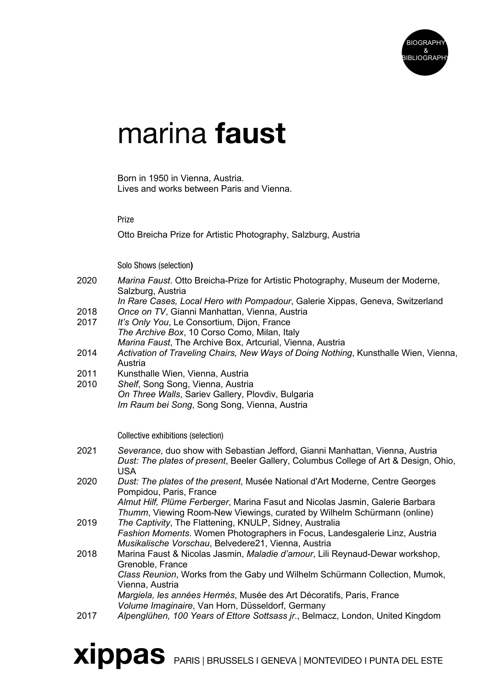

# marina faust

Born in 1950 in Vienna, Austria. Lives and works between Paris and Vienna.

## Prize

Otto Breicha Prize for Artistic Photography, Salzburg, Austria

Solo Shows (selection**)**

- 2020 *Marina Faust*. Otto Breicha-Prize for Artistic Photography, Museum der Moderne, Salzburg, Austria
- *In Rare Cases, Local Hero with Pompadour*, Galerie Xippas, Geneva, Switzerland 2018 *Once on TV*, Gianni Manhattan, Vienna, Austria
- 2017 *It's Only You*, Le Consortium, Dijon, France *The Archive Box*, 10 Corso Como, Milan, Italy *Marina Faust*, The Archive Box, Artcurial, Vienna, Austria
- 2014 *Activation of Traveling Chairs, New Ways of Doing Nothing*, Kunsthalle Wien, Vienna, Austria
- 2011 Kunsthalle Wien, Vienna, Austria
- 2010 *Shelf*, Song Song, Vienna, Austria *On Three Walls*, Sariev Gallery, Plovdiv, Bulgaria
	- *Im Raum bei Song*, Song Song, Vienna, Austria

Collective exhibitions (selection)

- 2021 *Severance*, duo show with Sebastian Jefford, Gianni Manhattan, Vienna, Austria *Dust: The plates of present*, Beeler Gallery, Columbus College of Art & Design, Ohio, USA
- 2020 *Dust: The plates of the present*, Musée National d'Art Moderne, Centre Georges Pompidou, Paris, France

*Almut Hilf, Plüme Ferberger*, Marina Fasut and Nicolas Jasmin, Galerie Barbara *Thumm*, Viewing Room-New Viewings, curated by Wilhelm Schürmann (online)

- 2019 *The Captivity*, The Flattening, KNULP, Sidney, Australia *Fashion Moments*. Women Photographers in Focus, Landesgalerie Linz, Austria *Musikalische Vorschau*, Belvedere21, Vienna, Austria
- 2018 Marina Faust & Nicolas Jasmin, *Maladie d'amour*, Lili Reynaud-Dewar workshop, Grenoble, France *Class Reunion*, Works from the Gaby und Wilhelm Schürmann Collection, Mumok, Vienna, Austria *Margiela, les années Hermès*, Musée des Art Décoratifs, Paris, France *Volume Imaginaire*, Van Horn, Düsseldorf, Germany
- 2017 *Alpenglühen, 100 Years of Ettore Sottsass jr*., Belmacz, London, United Kingdom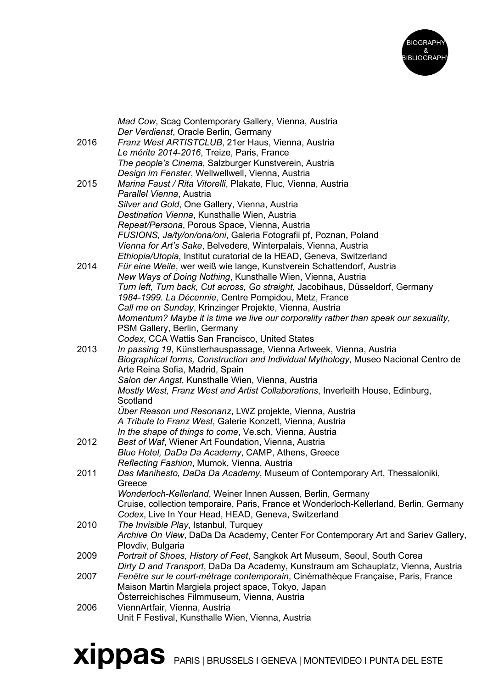

|      | Mad Cow, Scag Contemporary Gallery, Vienna, Austria<br>Der Verdienst, Oracle Berlin, Germany                                                  |
|------|-----------------------------------------------------------------------------------------------------------------------------------------------|
| 2016 | Franz West ARTISTCLUB, 21er Haus, Vienna, Austria                                                                                             |
|      | Le mérite 2014-2016, Treize, Paris, France                                                                                                    |
|      | The people's Cinema, Salzburger Kunstverein, Austria                                                                                          |
|      | Design im Fenster, Wellwellwell, Vienna, Austria                                                                                              |
| 2015 | Marina Faust / Rita Vitorelli, Plakate, Fluc, Vienna, Austria                                                                                 |
|      | Parallel Vienna, Austria                                                                                                                      |
|      | Silver and Gold, One Gallery, Vienna, Austria                                                                                                 |
|      | Destination Vienna, Kunsthalle Wien, Austria                                                                                                  |
|      | Repeat/Persona, Porous Space, Vienna, Austria                                                                                                 |
|      | FUSIONS, Ja/ty/on/ona/oni, Galeria Fotografii pf, Poznan, Poland                                                                              |
|      | Vienna for Art's Sake, Belvedere, Winterpalais, Vienna, Austria                                                                               |
|      | Ethiopia/Utopia, Institut curatorial de la HEAD, Geneva, Switzerland                                                                          |
| 2014 | Für eine Weile, wer weiß wie lange, Kunstverein Schattendorf, Austria<br>New Ways of Doing Nothing, Kunsthalle Wien, Vienna, Austria          |
|      | Turn left, Turn back, Cut across, Go straight, Jacobihaus, Düsseldorf, Germany                                                                |
|      | 1984-1999. La Décennie, Centre Pompidou, Metz, France                                                                                         |
|      | Call me on Sunday, Krinzinger Projekte, Vienna, Austria                                                                                       |
|      | Momentum? Maybe it is time we live our corporality rather than speak our sexuality,                                                           |
|      | PSM Gallery, Berlin, Germany                                                                                                                  |
|      | Codex, CCA Wattis San Francisco, United States                                                                                                |
| 2013 | In passing 19, Künstlerhauspassage, Vienna Artweek, Vienna, Austria                                                                           |
|      | Biographical forms, Construction and Individual Mythology, Museo Nacional Centro de                                                           |
|      | Arte Reina Sofia, Madrid, Spain                                                                                                               |
|      | Salon der Angst, Kunsthalle Wien, Vienna, Austria                                                                                             |
|      | Mostly West, Franz West and Artist Collaborations, Inverleith House, Edinburg,<br>Scotland                                                    |
|      | Über Reason und Resonanz, LWZ projekte, Vienna, Austria                                                                                       |
|      | A Tribute to Franz West, Galerie Konzett, Vienna, Austria                                                                                     |
|      | In the shape of things to come, Ve.sch, Vienna, Austria                                                                                       |
| 2012 | Best of Waf, Wiener Art Foundation, Vienna, Austria                                                                                           |
|      | Blue Hotel, DaDa Da Academy, CAMP, Athens, Greece                                                                                             |
|      | Reflecting Fashion, Mumok, Vienna, Austria                                                                                                    |
| 2011 | Das Manihesto, DaDa Da Academy, Museum of Contemporary Art, Thessaloniki,                                                                     |
|      | Greece                                                                                                                                        |
|      | Wonderloch-Kellerland, Weiner Innen Aussen, Berlin, Germany                                                                                   |
|      | Cruise, collection temporaire, Paris, France et Wonderloch-Kellerland, Berlin, Germany<br>Codex, Live In Your Head, HEAD, Geneva, Switzerland |
| 2010 | The Invisible Play, Istanbul, Turquey                                                                                                         |
|      | Archive On View, DaDa Da Academy, Center For Contemporary Art and Sariev Gallery,                                                             |
|      | Plovdiv, Bulgaria                                                                                                                             |
| 2009 | Portrait of Shoes, History of Feet, Sangkok Art Museum, Seoul, South Corea                                                                    |
|      | Dirty D and Transport, DaDa Da Academy, Kunstraum am Schauplatz, Vienna, Austria                                                              |
| 2007 | Fenêtre sur le court-métrage contemporain, Cinémathèque Française, Paris, France                                                              |
|      | Maison Martin Margiela project space, Tokyo, Japan                                                                                            |
|      | Österreichisches Filmmuseum, Vienna, Austria                                                                                                  |
| 2006 | ViennArtfair, Vienna, Austria                                                                                                                 |
|      | Unit F Festival, Kunsthalle Wien, Vienna, Austria                                                                                             |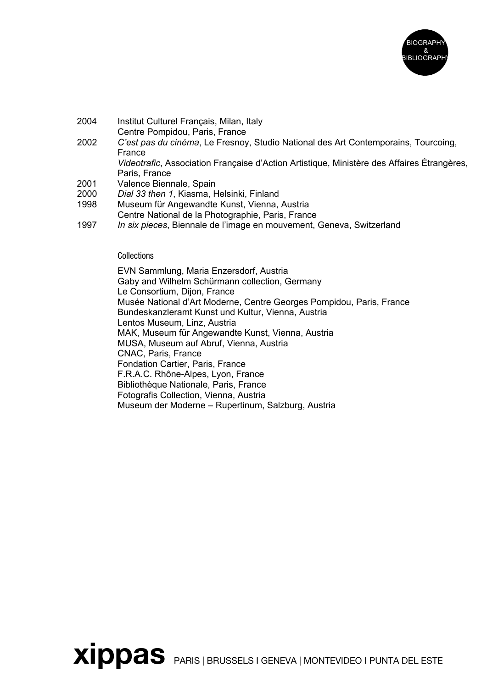

- 2004 Institut Culturel Français, Milan, Italy Centre Pompidou, Paris, France
- 2002 *C'est pas du cinéma*, Le Fresnoy, Studio National des Art Contemporains, Tourcoing, France *Videotrafic*, Association Française d'Action Artistique, Ministère des Affaires Étrangères, Paris, France
- 
- 2001 Valence Biennale, Spain<br>2000 Dial 33 then 1. Kiasma. F Dial 33 then 1, Kiasma, Helsinki, Finland
- 1998 Museum für Angewandte Kunst, Vienna, Austria
- Centre National de la Photographie, Paris, France
- 1997 *In six pieces*, Biennale de l'image en mouvement, Geneva, Switzerland

## **Collections**

EVN Sammlung, Maria Enzersdorf, Austria Gaby and Wilhelm Schürmann collection, Germany Le Consortium, Dijon, France Musée National d'Art Moderne, Centre Georges Pompidou, Paris, France Bundeskanzleramt Kunst und Kultur, Vienna, Austria Lentos Museum, Linz, Austria MAK, Museum für Angewandte Kunst, Vienna, Austria MUSA, Museum auf Abruf, Vienna, Austria CNAC, Paris, France Fondation Cartier, Paris, France F.R.A.C. Rhône-Alpes, Lyon, France Bibliothèque Nationale, Paris, France Fotografis Collection, Vienna, Austria Museum der Moderne – Rupertinum, Salzburg, Austria